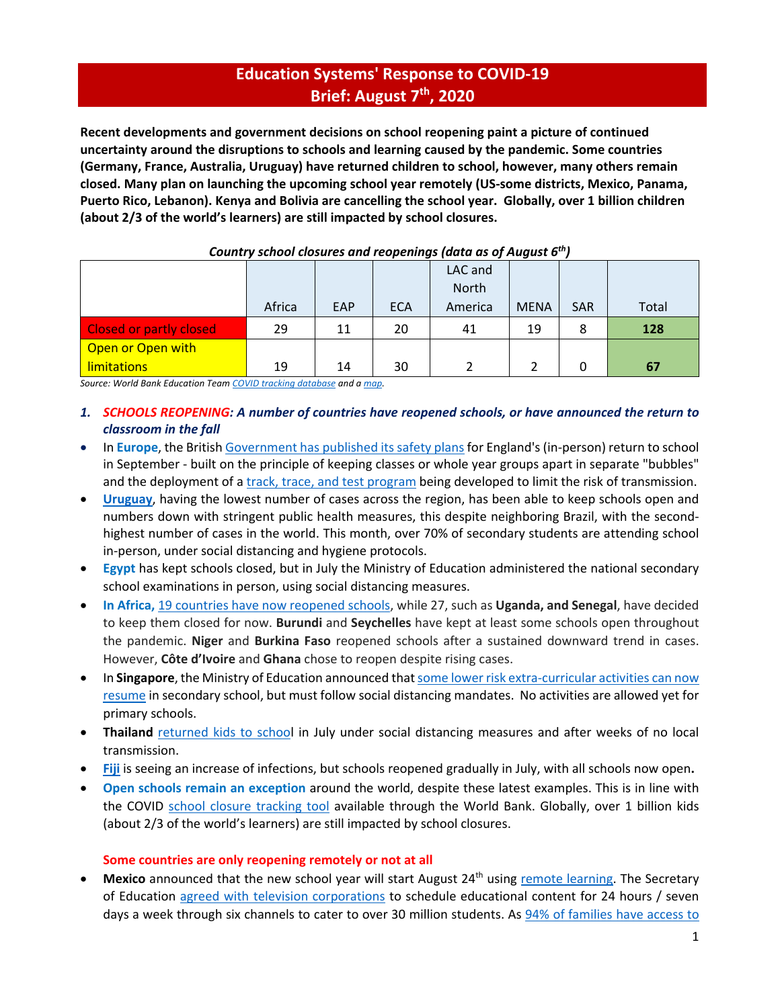# **Education Systems' Response to COVID‐19 Brief: August 7th, 2020**

**Recent developments and government decisions on school reopening paint a picture of continued uncertainty around the disruptions to schools and learning caused by the pandemic. Some countries (Germany, France, Australia, Uruguay) have returned children to school, however, many others remain closed. Many plan on launching the upcoming school year remotely (US‐some districts, Mexico, Panama,** Puerto Rico, Lebanon). Kenya and Bolivia are cancelling the school year. Globally, over 1 billion children **(about 2/3 of the world's learners) are still impacted by school closures.**

| country school closures and reoperlings fuutu as of August o |        |     |            |              |             |            |       |
|--------------------------------------------------------------|--------|-----|------------|--------------|-------------|------------|-------|
|                                                              |        |     |            | LAC and      |             |            |       |
|                                                              |        |     |            | <b>North</b> |             |            |       |
|                                                              | Africa | EAP | <b>ECA</b> | America      | <b>MENA</b> | <b>SAR</b> | Total |
| <b>Closed or partly closed</b>                               | 29     | 11  | 20         | 41           | 19          | 8          | 128   |
| Open or Open with                                            |        |     |            |              |             |            |       |
| <b>limitations</b>                                           | 19     | 14  | 30         |              |             |            | 67    |

# *Country school closures and reopenings (data as of August 6th)*

*Source: World Bank Education Team COVID tracking database and a map.* 

- *1. SCHOOLS REOPENING: A number of countries have reopened schools, or have announced the return to classroom in the fall*
- In **Europe**, the British Government has published its safety plans for England's (in-person) return to school in September ‐ built on the principle of keeping classes or whole year groups apart in separate "bubbles" and the deployment of a track, trace, and test program being developed to limit the risk of transmission.
- **Uruguay**, having the lowest number of cases across the region, has been able to keep schools open and numbers down with stringent public health measures, this despite neighboring Brazil, with the second‐ highest number of cases in the world. This month, over 70% of secondary students are attending school in‐person, under social distancing and hygiene protocols.
- **Egypt** has kept schools closed, but in July the Ministry of Education administered the national secondary school examinations in person, using social distancing measures.
- **In Africa,** 19 countries have now reopened schools, while 27, such as **Uganda, and Senegal**, have decided to keep them closed for now. **Burundi** and **Seychelles** have kept at least some schools open throughout the pandemic. **Niger** and **Burkina Faso** reopened schools after a sustained downward trend in cases. However, **Côte d'Ivoire** and **Ghana** chose to reopen despite rising cases.
- In **Singapore**, the Ministry of Education announced that some lower risk extra-curricular activities can now resume in secondary school, but must follow social distancing mandates. No activities are allowed yet for primary schools.
- **•** Thailand returned kids to school in July under social distancing measures and after weeks of no local transmission.
- **Fiji** is seeing an increase of infections, but schools reopened gradually in July, with all schools now open**.**
- **Open schools remain an exception** around the world, despite these latest examples. This is in line with the COVID school closure tracking tool available through the World Bank. Globally, over 1 billion kids (about 2/3 of the world's learners) are still impacted by school closures.

# **Some countries are only reopening remotely or not at all**

**Mexico** announced that the new school year will start August 24<sup>th</sup> using remote learning. The Secretary of Education agreed with television corporations to schedule educational content for 24 hours / seven days a week through six channels to cater to over 30 million students. As 94% of families have access to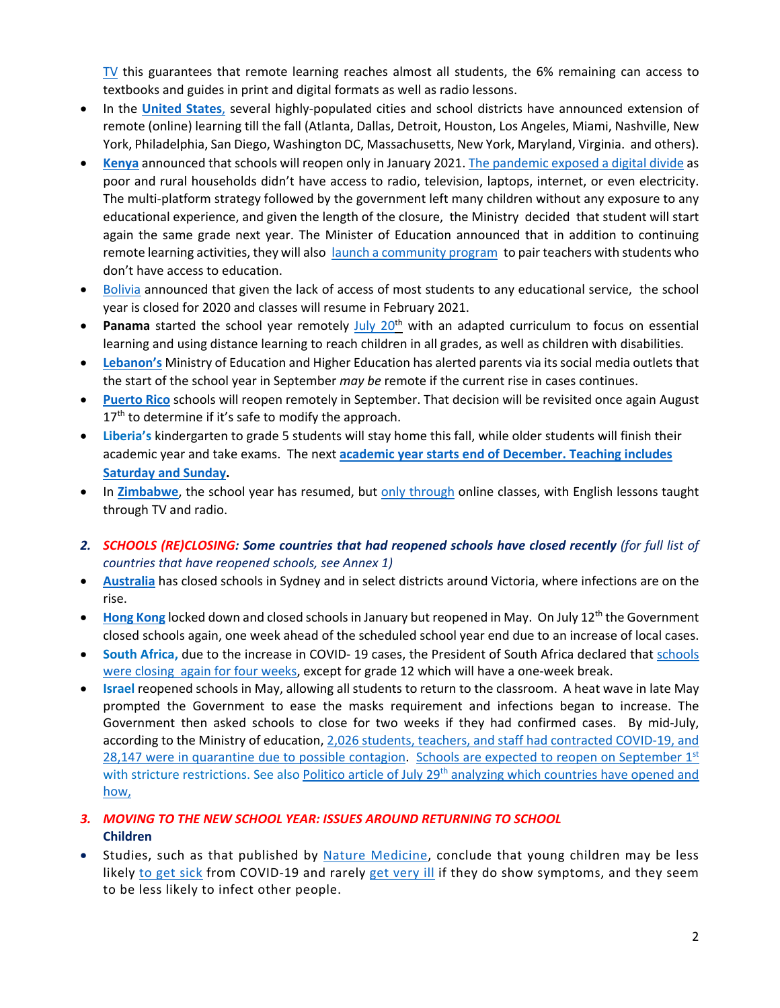$TV$  this guarantees that remote learning reaches almost all students, the 6% remaining can access to textbooks and guides in print and digital formats as well as radio lessons.

- In the **United States**, several highly-populated cities and school districts have announced extension of remote (online) learning till the fall (Atlanta, Dallas, Detroit, Houston, Los Angeles, Miami, Nashville, New York, Philadelphia, San Diego, Washington DC, Massachusetts, New York, Maryland, Virginia. and others).
- **Kenya** announced that schools will reopen only in January 2021. The pandemic exposed a digital divide as poor and rural households didn't have access to radio, television, laptops, internet, or even electricity. The multi‐platform strategy followed by the government left many children without any exposure to any educational experience, and given the length of the closure, the Ministry decided that student will start again the same grade next year. The Minister of Education announced that in addition to continuing remote learning activities, they will also launch a community program to pair teachers with students who don't have access to education.
- $\bullet$  Bolivia announced that given the lack of access of most students to any educational service, the school year is closed for 2020 and classes will resume in February 2021.
- **Panama** started the school year remotely July 20<sup>th</sup> with an adapted curriculum to focus on essential learning and using distance learning to reach children in all grades, as well as children with disabilities.
- Lebanon's Ministry of Education and Higher Education has alerted parents via its social media outlets that the start of the school year in September *may be* remote if the current rise in cases continues.
- **Puerto Rico** schools will reopen remotely in September. That decision will be revisited once again August  $17<sup>th</sup>$  to determine if it's safe to modify the approach.
- **Liberia's** kindergarten to grade 5 students will stay home this fall, while older students will finish their academic year and take exams. The next **academic year starts end of December. Teaching includes Saturday and Sunday.**
- In Zimbabwe, the school year has resumed, but only through online classes, with English lessons taught through TV and radio.
- *2. SCHOOLS (RE)CLOSING: Some countries that had reopened schools have closed recently (for full list of countries that have reopened schools, see Annex 1)*
- **Australia** has closed schools in Sydney and in select districts around Victoria, where infections are on the rise.
- Hong Kong locked down and closed schools in January but reopened in May. On July 12<sup>th</sup> the Government closed schools again, one week ahead of the scheduled school year end due to an increase of local cases.
- **South Africa,** due to the increase in COVID‐ 19 cases, the President of South Africa declared that schools were closing again for four weeks, except for grade 12 which will have a one-week break.
- **Israel** reopened schools in May, allowing all students to return to the classroom. A heat wave in late May prompted the Government to ease the masks requirement and infections began to increase. The Government then asked schools to close for two weeks if they had confirmed cases. By mid-July, according to the Ministry of education, 2,026 students, teachers, and staff had contracted COVID‐19, and 28,147 were in quarantine due to possible contagion. Schools are expected to reopen on September  $1<sup>st</sup>$ with stricture restrictions. See also Politico article of July 29<sup>th</sup> analyzing which countries have opened and how,

# *3. MOVING TO THE NEW SCHOOL YEAR: ISSUES AROUND RETURNING TO SCHOOL* **Children**

• Studies, such as that published by Nature Medicine, conclude that young children may be less likely to get sick from COVID-19 and rarely get very ill if they do show symptoms, and they seem to be less likely to infect other people.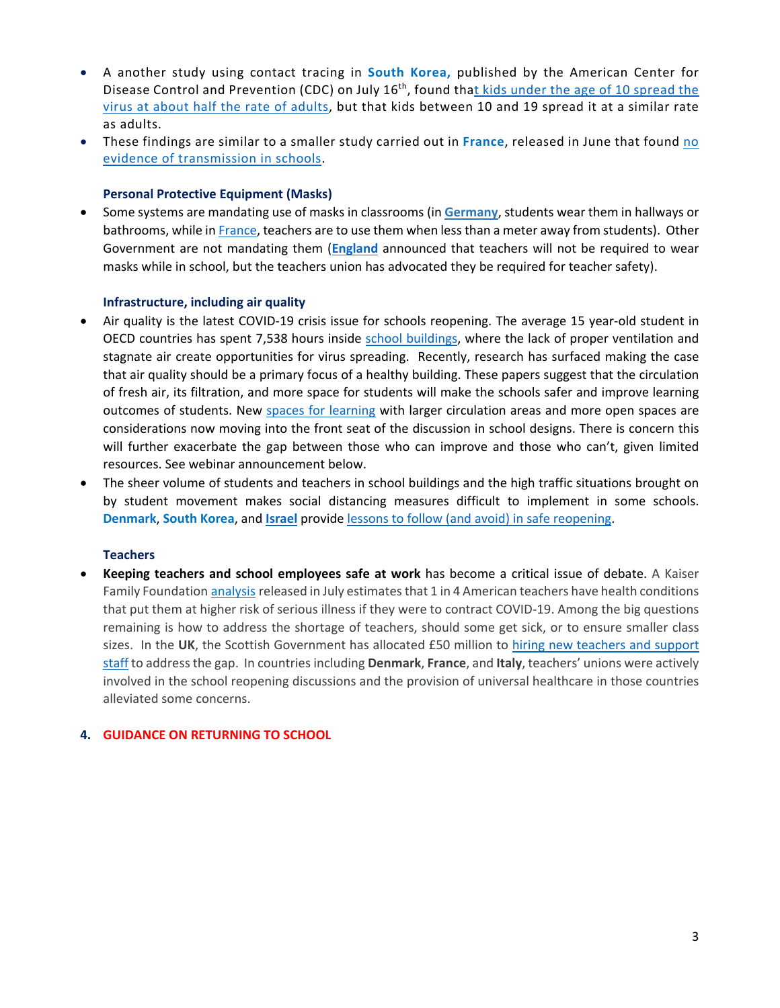- A another study using contact tracing in **South Korea,** published by the American Center for Disease Control and Prevention (CDC) on July 16<sup>th</sup>, found that kids under the age of 10 spread the virus at about half the rate of adults, but that kids between 10 and 19 spread it at a similar rate as adults.
- These findings are similar to a smaller study carried out in **France**, released in June that found no evidence of transmission in schools.

# **Personal Protective Equipment (Masks)**

 Some systems are mandating use of masks in classrooms (in **Germany**, students wear them in hallways or bathrooms, while in France, teachers are to use them when less than a meter away from students). Other Government are not mandating them (**England** announced that teachers will not be required to wear masks while in school, but the teachers union has advocated they be required for teacher safety).

# **Infrastructure, including air quality**

- Air quality is the latest COVID‐19 crisis issue for schools reopening. The average 15 year‐old student in OECD countries has spent 7,538 hours inside school buildings, where the lack of proper ventilation and stagnate air create opportunities for virus spreading. Recently, research has surfaced making the case that air quality should be a primary focus of a healthy building. These papers suggest that the circulation of fresh air, its filtration, and more space for students will make the schools safer and improve learning outcomes of students. New spaces for learning with larger circulation areas and more open spaces are considerations now moving into the front seat of the discussion in school designs. There is concern this will further exacerbate the gap between those who can improve and those who can't, given limited resources. See webinar announcement below.
- The sheer volume of students and teachers in school buildings and the high traffic situations brought on by student movement makes social distancing measures difficult to implement in some schools. **Denmark**, **South Korea**, and **Israel** provide lessons to follow (and avoid) in safe reopening.

# **Teachers**

 **Keeping teachers and school employees safe at work** has become a critical issue of debate. A Kaiser Family Foundation analysis released in July estimates that 1 in 4 American teachers have health conditions that put them at higher risk of serious illness if they were to contract COVID‐19. Among the big questions remaining is how to address the shortage of teachers, should some get sick, or to ensure smaller class sizes. In the **UK**, the Scottish Government has allocated £50 million to hiring new teachers and support staff to addressthe gap. In countriesincluding **Denmark**, **France**, and **Italy**, teachers' unions were actively involved in the school reopening discussions and the provision of universal healthcare in those countries alleviated some concerns.

# **4. GUIDANCE ON RETURNING TO SCHOOL**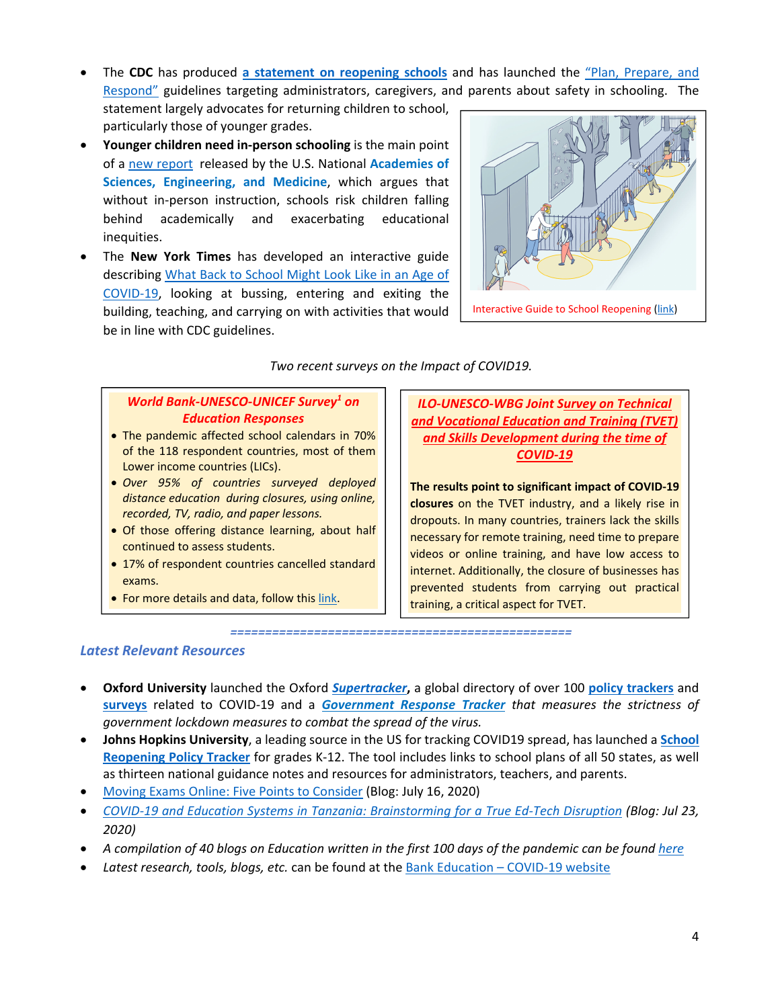The **CDC** has produced **a statement on reopening schools** and has launched the "Plan, Prepare, and Respond" guidelines targeting administrators, caregivers, and parents about safety in schooling. The

statement largely advocates for returning children to school, particularly those of younger grades.

- **Younger children need in‐person schooling** is the main point of a new report released by the U.S. National **Academies of Sciences, Engineering, and Medicine**, which argues that without in-person instruction, schools risk children falling behind academically and exacerbating educational inequities.
- The **New York Times** has developed an interactive guide describing What Back to School Might Look Like in an Age of COVID‐19, looking at bussing, entering and exiting the building, teaching, and carrying on with activities that would be in line with CDC guidelines.



# *Two recent surveys on the Impact of COVID19.*

#### *World Bank‐UNESCO‐UNICEF Survey1 on Education Responses*

- The pandemic affected school calendars in 70% of the 118 respondent countries, most of them Lower income countries (LICs).
- *Over 95% of countries surveyed deployed distance education during closures, using online, recorded, TV, radio, and paper lessons.*
- Of those offering distance learning, about half continued to assess students.
- 17% of respondent countries cancelled standard exams.
- For more details and data, follow this link.

*ILO‐UNESCO‐WBG Joint Survey on Technical and Vocational Education and Training (TVET) and Skills Development during the time of COVID‐19*

**The results point to significant impact of COVID‐19 closures** on the TVET industry, and a likely rise in dropouts. In many countries, trainers lack the skills necessary for remote training, need time to prepare videos or online training, and have low access to internet. Additionally, the closure of businesses has prevented students from carrying out practical training, a critical aspect for TVET.

*=================================================*

# *Latest Relevant Resources*

- **Oxford University** launched the Oxford *Supertracker***,** a global directory of over 100 **policy trackers** and **surveys** related to COVID‐19 and a *Government Response Tracker that measures the strictness of government lockdown measures to combat the spread of the virus.*
- **Johns Hopkins University**, a leading source in the US for tracking COVID19 spread, has launched a **School Reopening Policy Tracker** for grades K‐12. The tool includes links to school plans of all 50 states, as well as thirteen national guidance notes and resources for administrators, teachers, and parents.
- Moving Exams Online: Five Points to Consider (Blog: July 16, 2020)
- COVID-19 and Education Systems in Tanzania: Brainstorming for a True Ed-Tech Disruption (Blog: Jul 23, *2020)*
- A compilation of 40 blogs on Education written in the first 100 days of the pandemic can be found here
- *Latest research, tools, blogs, etc.* can be found at the Bank Education COVID‐19 website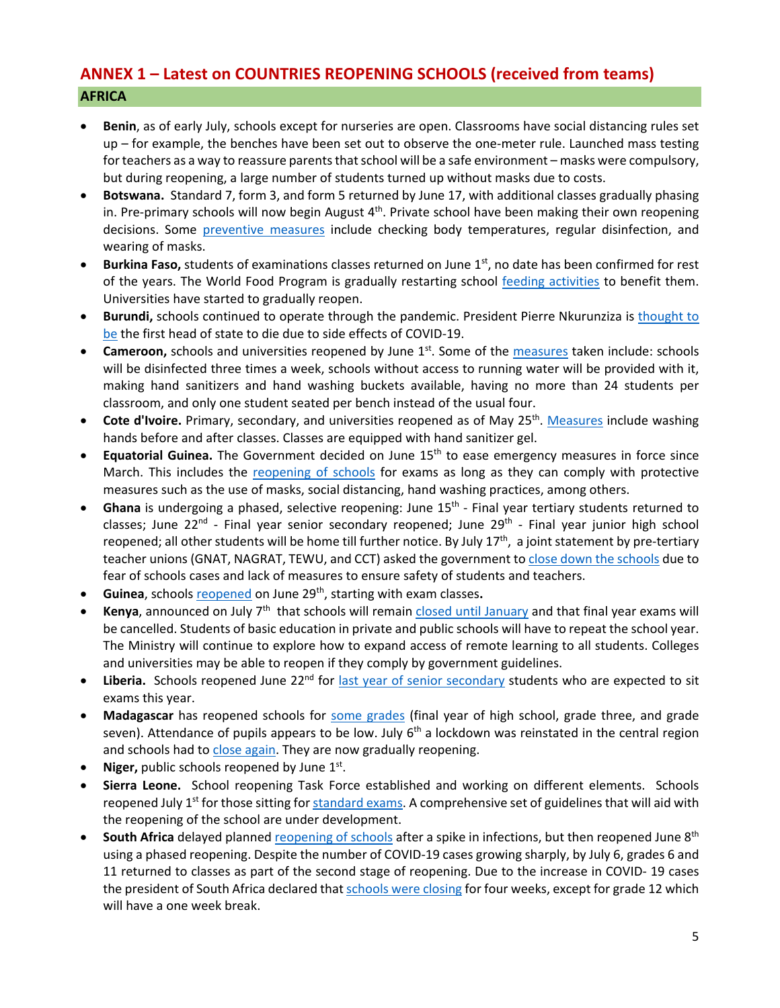# **ANNEX 1 – Latest on COUNTRIES REOPENING SCHOOLS (received from teams) AFRICA**

- **Benin**, as of early July, schools except for nurseries are open. Classrooms have social distancing rules set up – for example, the benches have been set out to observe the one‐meter rule. Launched mass testing for teachers as a way to reassure parents that school will be a safe environment – masks were compulsory, but during reopening, a large number of students turned up without masks due to costs.
- **Botswana.** Standard 7, form 3, and form 5 returned by June 17, with additional classes gradually phasing in. Pre-primary schools will now begin August  $4<sup>th</sup>$ . Private school have been making their own reopening decisions. Some preventive measures include checking body temperatures, regular disinfection, and wearing of masks.
- **Burkina Faso,** students of examinations classes returned on June 1<sup>st</sup>, no date has been confirmed for rest of the years. The World Food Program is gradually restarting school feeding activities to benefit them. Universities have started to gradually reopen.
- **Burundi,** schools continued to operate through the pandemic. President Pierre Nkurunziza is thought to be the first head of state to die due to side effects of COVID‐19.
- **Cameroon,** schools and universities reopened by June 1<sup>st</sup>. Some of the measures taken include: schools will be disinfected three times a week, schools without access to running water will be provided with it, making hand sanitizers and hand washing buckets available, having no more than 24 students per classroom, and only one student seated per bench instead of the usual four.
- **Cote d'Ivoire.** Primary, secondary, and universities reopened as of May 25<sup>th</sup>. Measures include washing hands before and after classes. Classes are equipped with hand sanitizer gel.
- **Equatorial Guinea.** The Government decided on June 15<sup>th</sup> to ease emergency measures in force since March. This includes the reopening of schools for exams as long as they can comply with protective measures such as the use of masks, social distancing, hand washing practices, among others.
- **Ghana** is undergoing a phased, selective reopening: June 15<sup>th</sup> Final year tertiary students returned to classes; June 22<sup>nd</sup> - Final year senior secondary reopened; June 29<sup>th</sup> - Final year junior high school reopened; all other students will be home till further notice. By July  $17<sup>th</sup>$ , a joint statement by pre-tertiary teacher unions (GNAT, NAGRAT, TEWU, and CCT) asked the government to close down the schools due to fear of schools cases and lack of measures to ensure safety of students and teachers.
- **Guinea**, schools reopened on June 29th, starting with exam classes**.**
- Kenya, announced on July 7<sup>th</sup> that schools will remain closed until January and that final year exams will be cancelled. Students of basic education in private and public schools will have to repeat the school year. The Ministry will continue to explore how to expand access of remote learning to all students. Colleges and universities may be able to reopen if they comply by government guidelines.
- Liberia. Schools reopened June 22<sup>nd</sup> for last year of senior secondary students who are expected to sit exams this year.
- **Madagascar** has reopened schools for some grades (final year of high school, grade three, and grade seven). Attendance of pupils appears to be low. July  $6<sup>th</sup>$  a lockdown was reinstated in the central region and schools had to close again. They are now gradually reopening.
- **Niger,** public schools reopened by June 1<sup>st</sup>.
- **Sierra Leone.** School reopening Task Force established and working on different elements. Schools reopened July 1<sup>st</sup> for those sitting for standard exams. A comprehensive set of guidelines that will aid with the reopening of the school are under development.
- **South Africa** delayed planned reopening of schools after a spike in infections, but then reopened June 8<sup>th</sup> using a phased reopening. Despite the number of COVID‐19 cases growing sharply, by July 6, grades 6 and 11 returned to classes as part of the second stage of reopening. Due to the increase in COVID‐ 19 cases the president of South Africa declared that schools were closing for four weeks, except for grade 12 which will have a one week break.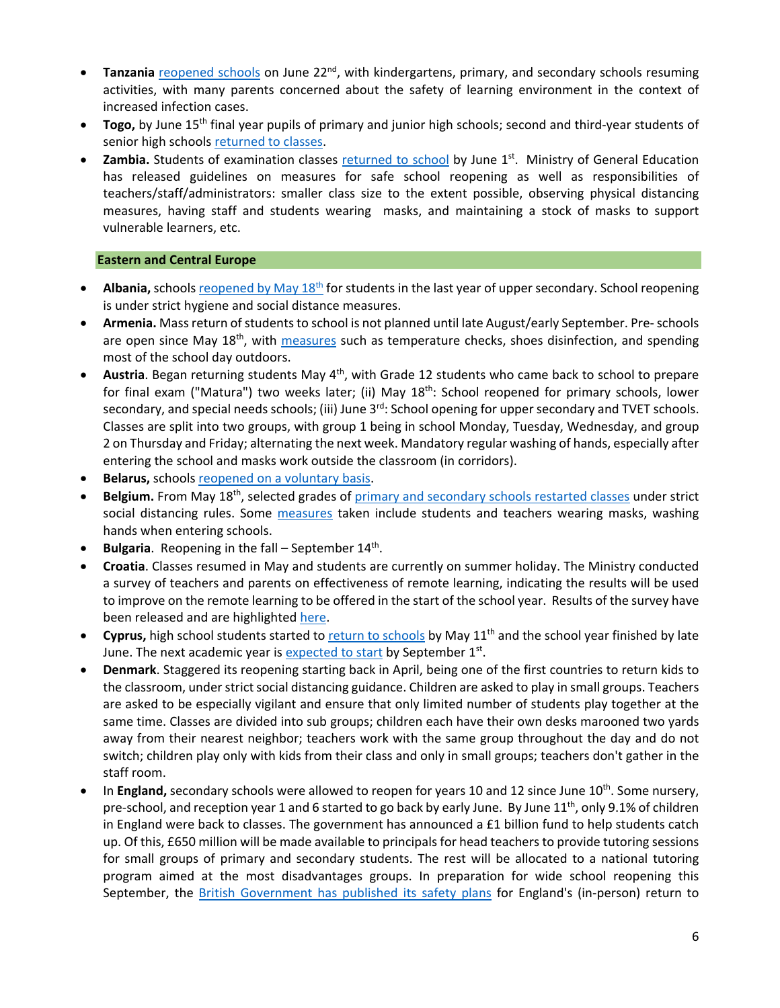- **Tanzania** reopened schools on June 22<sup>nd</sup>, with kindergartens, primary, and secondary schools resuming activities, with many parents concerned about the safety of learning environment in the context of increased infection cases.
- **Togo,** by June 15<sup>th</sup> final year pupils of primary and junior high schools; second and third-year students of senior high schools returned to classes.
- **Zambia.** Students of examination classes returned to school by June 1<sup>st</sup>. Ministry of General Education has released guidelines on measures for safe school reopening as well as responsibilities of teachers/staff/administrators: smaller class size to the extent possible, observing physical distancing measures, having staff and students wearing masks, and maintaining a stock of masks to support vulnerable learners, etc.

# **Eastern and Central Europe**

- Albania, schools reopened by May 18<sup>th</sup> for students in the last year of upper secondary. School reopening is under strict hygiene and social distance measures.
- Armenia. Mass return of students to school is not planned until late August/early September. Pre- schools are open since May  $18<sup>th</sup>$ , with measures such as temperature checks, shoes disinfection, and spending most of the school day outdoors.
- Austria. Began returning students May 4<sup>th</sup>, with Grade 12 students who came back to school to prepare for final exam ("Matura") two weeks later; (ii) May 18<sup>th</sup>: School reopened for primary schools, lower secondary, and special needs schools; (iii) June 3<sup>rd</sup>: School opening for upper secondary and TVET schools. Classes are split into two groups, with group 1 being in school Monday, Tuesday, Wednesday, and group 2 on Thursday and Friday; alternating the next week. Mandatory regular washing of hands, especially after entering the school and masks work outside the classroom (in corridors).
- **Belarus,** schools reopened on a voluntary basis.
- Belgium. From May 18<sup>th</sup>, selected grades of primary and secondary schools restarted classes under strict social distancing rules. Some measures taken include students and teachers wearing masks, washing hands when entering schools.
- **Bulgaria**. Reopening in the fall September 14<sup>th</sup>.
- **Croatia**. Classes resumed in May and students are currently on summer holiday. The Ministry conducted a survey of teachers and parents on effectiveness of remote learning, indicating the results will be used to improve on the remote learning to be offered in the start of the school year. Results of the survey have been released and are highlighted here.
- **Cyprus,** high school students started to return to schools by May 11th and the school year finished by late June. The next academic year is expected to start by September  $1<sup>st</sup>$ .
- **Denmark**. Staggered its reopening starting back in April, being one of the first countries to return kids to the classroom, under strict social distancing guidance. Children are asked to play in small groups. Teachers are asked to be especially vigilant and ensure that only limited number of students play together at the same time. Classes are divided into sub groups; children each have their own desks marooned two yards away from their nearest neighbor; teachers work with the same group throughout the day and do not switch; children play only with kids from their class and only in small groups; teachers don't gather in the staff room.
- In **England,** secondary schools were allowed to reopen for years 10 and 12 since June 10<sup>th</sup>. Some nursery, pre-school, and reception year 1 and 6 started to go back by early June. By June 11<sup>th</sup>, only 9.1% of children in England were back to classes. The government has announced a £1 billion fund to help students catch up. Of this, £650 million will be made available to principals for head teachers to provide tutoring sessions for small groups of primary and secondary students. The rest will be allocated to a national tutoring program aimed at the most disadvantages groups. In preparation for wide school reopening this September, the British Government has published its safety plans for England's (in-person) return to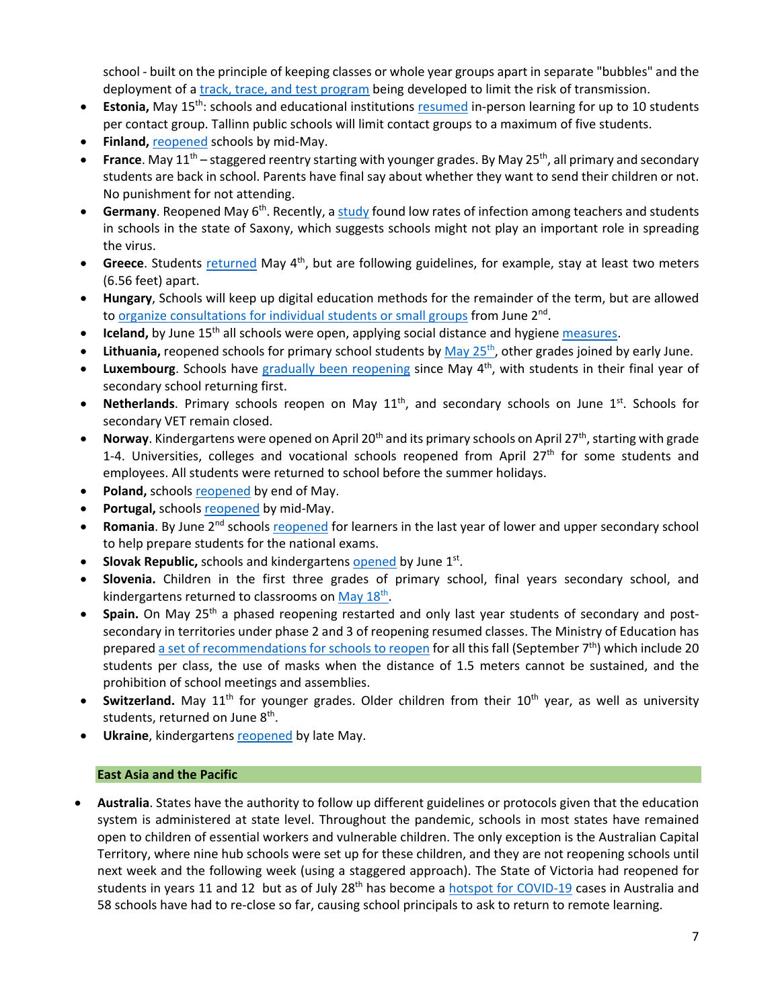school ‐ built on the principle of keeping classes or whole year groups apart in separate "bubbles" and the deployment of a *track, trace, and test program* being developed to limit the risk of transmission.

- **Estonia,** May 15th: schools and educational institutions resumed in‐person learning for up to 10 students per contact group. Tallinn public schools will limit contact groups to a maximum of five students.
- **Finland,** reopened schools by mid‐May.
- **France**. May 11<sup>th</sup> staggered reentry starting with younger grades. By May 25<sup>th</sup>, all primary and secondary students are back in school. Parents have final say about whether they want to send their children or not. No punishment for not attending.
- **Germany**. Reopened May 6th. Recently, a study found low rates of infection among teachers and students in schools in the state of Saxony, which suggests schools might not play an important role in spreading the virus.
- **Greece**. Students returned May 4<sup>th</sup>, but are following guidelines, for example, stay at least two meters (6.56 feet) apart.
- **Hungary**, Schools will keep up digital education methods for the remainder of the term, but are allowed to organize consultations for individual students or small groups from June  $2<sup>nd</sup>$ .
- **Iceland,** by June 15<sup>th</sup> all schools were open, applying social distance and hygiene measures.
- Lithuania, reopened schools for primary school students by May 25<sup>th</sup>, other grades joined by early June.
- **Luxembourg**. Schools have gradually been reopening since May 4th, with students in their final year of secondary school returning first.
- **Netherlands**. Primary schools reopen on May 11<sup>th</sup>, and secondary schools on June 1<sup>st</sup>. Schools for secondary VET remain closed.
- Norway. Kindergartens were opened on April 20<sup>th</sup> and its primary schools on April 27<sup>th</sup>, starting with grade 1-4. Universities, colleges and vocational schools reopened from April 27<sup>th</sup> for some students and employees. All students were returned to school before the summer holidays.
- **Poland,** schools reopened by end of May.
- **Portugal,** schools reopened by mid‐May.
- **Romania**. By June 2<sup>nd</sup> schools reopened for learners in the last year of lower and upper secondary school to help prepare students for the national exams.
- **Slovak Republic,** schools and kindergartens opened by June 1<sup>st</sup>.
- **Slovenia.** Children in the first three grades of primary school, final years secondary school, and kindergartens returned to classrooms on May  $18<sup>th</sup>$ .
- **Spain.** On May 25<sup>th</sup> a phased reopening restarted and only last year students of secondary and postsecondary in territories under phase 2 and 3 of reopening resumed classes. The Ministry of Education has prepared a set of recommendations for schools to reopen for all this fall (September 7<sup>th</sup>) which include 20 students per class, the use of masks when the distance of 1.5 meters cannot be sustained, and the prohibition of school meetings and assemblies.
- Switzerland. May 11<sup>th</sup> for younger grades. Older children from their 10<sup>th</sup> year, as well as university students, returned on June 8<sup>th</sup>.
- **Ukraine**, kindergartens reopened by late May.

# **East Asia and the Pacific**

 **Australia**. States have the authority to follow up different guidelines or protocols given that the education system is administered at state level. Throughout the pandemic, schools in most states have remained open to children of essential workers and vulnerable children. The only exception is the Australian Capital Territory, where nine hub schools were set up for these children, and they are not reopening schools until next week and the following week (using a staggered approach). The State of Victoria had reopened for students in years 11 and 12 but as of July 28<sup>th</sup> has become a hotspot for COVID-19 cases in Australia and 58 schools have had to re-close so far, causing school principals to ask to return to remote learning.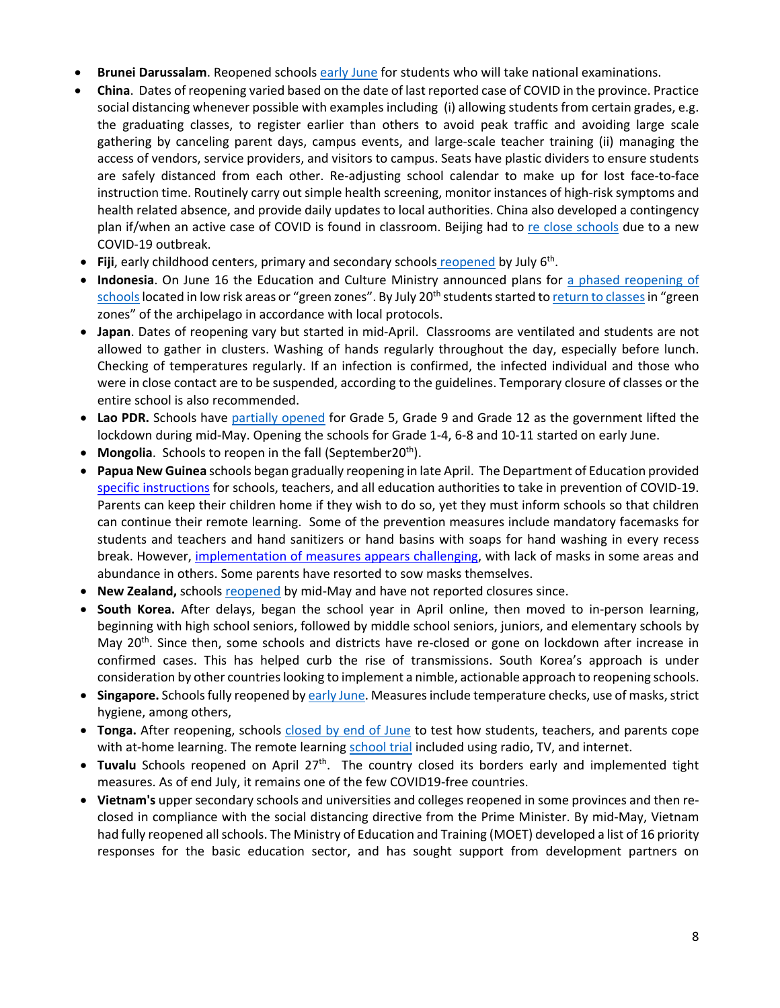- **Brunei Darussalam**. Reopened schools early June for students who will take national examinations.
- **China**. Dates of reopening varied based on the date of last reported case of COVID in the province. Practice social distancing whenever possible with examples including (i) allowing students from certain grades, e.g. the graduating classes, to register earlier than others to avoid peak traffic and avoiding large scale gathering by canceling parent days, campus events, and large-scale teacher training (ii) managing the access of vendors, service providers, and visitors to campus. Seats have plastic dividers to ensure students are safely distanced from each other. Re‐adjusting school calendar to make up for lost face‐to‐face instruction time. Routinely carry out simple health screening, monitor instances of high‐risk symptoms and health related absence, and provide daily updates to local authorities. China also developed a contingency plan if/when an active case of COVID is found in classroom. Beijing had to re close schools due to a new COVID‐19 outbreak.
- **Fiji**, early childhood centers, primary and secondary schools reopened by July 6th.
- **Indonesia**. On June 16 the Education and Culture Ministry announced plans for a phased reopening of schools located in low risk areas or "green zones". By July 20<sup>th</sup> students started to return to classes in "green zones" of the archipelago in accordance with local protocols.
- **Japan**. Dates of reopening vary but started in mid-April. Classrooms are ventilated and students are not allowed to gather in clusters. Washing of hands regularly throughout the day, especially before lunch. Checking of temperatures regularly. If an infection is confirmed, the infected individual and those who were in close contact are to be suspended, according to the guidelines. Temporary closure of classes or the entire school is also recommended.
- **Lao PDR.** Schools have partially opened for Grade 5, Grade 9 and Grade 12 as the government lifted the lockdown during mid‐May. Opening the schools for Grade 1‐4, 6‐8 and 10‐11 started on early June.
- **Mongolia**. Schools to reopen in the fall (September20<sup>th</sup>).
- **Papua New Guinea** schools began gradually reopening in late April. The Department of Education provided specific instructions for schools, teachers, and all education authorities to take in prevention of COVID‐19. Parents can keep their children home if they wish to do so, yet they must inform schools so that children can continue their remote learning. Some of the prevention measures include mandatory facemasks for students and teachers and hand sanitizers or hand basins with soaps for hand washing in every recess break. However, implementation of measures appears challenging, with lack of masks in some areas and abundance in others. Some parents have resorted to sow masks themselves.
- **New Zealand,** schools reopened by mid‐May and have not reported closures since.
- **South Korea.** After delays, began the school year in April online, then moved to in‐person learning, beginning with high school seniors, followed by middle school seniors, juniors, and elementary schools by May 20<sup>th</sup>. Since then, some schools and districts have re-closed or gone on lockdown after increase in confirmed cases. This has helped curb the rise of transmissions. South Korea's approach is under consideration by other countrieslooking to implement a nimble, actionable approach to reopening schools.
- **Singapore.** Schools fully reopened by early June. Measures include temperature checks, use of masks, strict hygiene, among others,
- **Tonga.** After reopening, schools closed by end of June to test how students, teachers, and parents cope with at-home learning. The remote learning school trial included using radio, TV, and internet.
- Tuvalu Schools reopened on April 27<sup>th</sup>. The country closed its borders early and implemented tight measures. As of end July, it remains one of the few COVID19‐free countries.
- **Vietnam's** upper secondary schools and universities and colleges reopened in some provinces and then re‐ closed in compliance with the social distancing directive from the Prime Minister. By mid‐May, Vietnam had fully reopened all schools. The Ministry of Education and Training (MOET) developed a list of 16 priority responses for the basic education sector, and has sought support from development partners on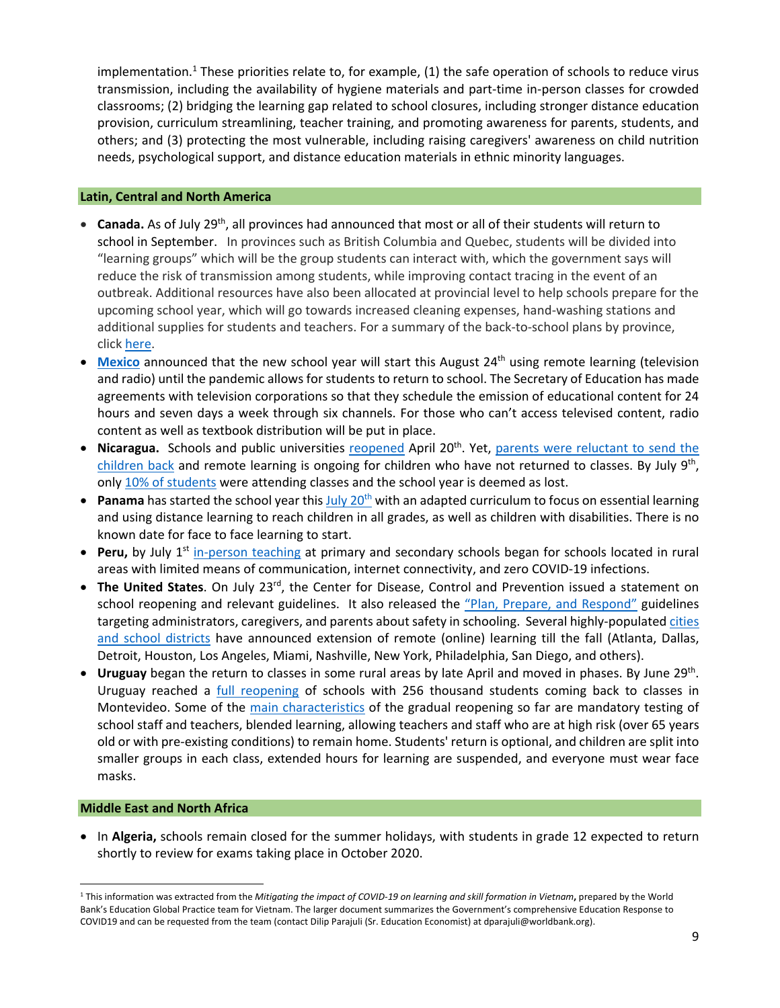implementation.<sup>1</sup> These priorities relate to, for example,  $(1)$  the safe operation of schools to reduce virus transmission, including the availability of hygiene materials and part‐time in‐person classes for crowded classrooms; (2) bridging the learning gap related to school closures, including stronger distance education provision, curriculum streamlining, teacher training, and promoting awareness for parents, students, and others; and (3) protecting the most vulnerable, including raising caregivers' awareness on child nutrition needs, psychological support, and distance education materials in ethnic minority languages.

#### **Latin, Central and North America**

- Canada. As of July 29<sup>th</sup>, all provinces had announced that most or all of their students will return to school in September. In provinces such as British Columbia and Quebec, students will be divided into "learning groups" which will be the group students can interact with, which the government says will reduce the risk of transmission among students, while improving contact tracing in the event of an outbreak. Additional resources have also been allocated at provincial level to help schools prepare for the upcoming school year, which will go towards increased cleaning expenses, hand‐washing stations and additional supplies for students and teachers. For a summary of the back‐to‐school plans by province, click here.
- **Mexico** announced that the new school year will start this August 24<sup>th</sup> using remote learning (television and radio) until the pandemic allows for students to return to school. The Secretary of Education has made agreements with television corporations so that they schedule the emission of educational content for 24 hours and seven days a week through six channels. For those who can't access televised content, radio content as well as textbook distribution will be put in place.
- Nicaragua. Schools and public universities reopened April 20<sup>th</sup>. Yet, parents were reluctant to send the children back and remote learning is ongoing for children who have not returned to classes. By July 9th, only 10% of students were attending classes and the school year is deemed as lost.
- **Panama** has started the school year this July 20<sup>th</sup> with an adapted curriculum to focus on essential learning and using distance learning to reach children in all grades, as well as children with disabilities. There is no known date for face to face learning to start.
- Peru, by July 1<sup>st</sup> in-person teaching at primary and secondary schools began for schools located in rural areas with limited means of communication, internet connectivity, and zero COVID‐19 infections.
- **The United States**. On July 23<sup>rd</sup>, the Center for Disease, Control and Prevention issued a statement on school reopening and relevant guidelines. It also released the "Plan, Prepare, and Respond" guidelines targeting administrators, caregivers, and parents about safety in schooling. Several highly-populated cities and school districts have announced extension of remote (online) learning till the fall (Atlanta, Dallas, Detroit, Houston, Los Angeles, Miami, Nashville, New York, Philadelphia, San Diego, and others).
- **Uruguay** began the return to classes in some rural areas by late April and moved in phases. By June 29th. Uruguay reached a *full reopening* of schools with 256 thousand students coming back to classes in Montevideo. Some of the main characteristics of the gradual reopening so far are mandatory testing of school staff and teachers, blended learning, allowing teachers and staff who are at high risk (over 65 years old or with pre‐existing conditions) to remain home. Students' return is optional, and children are split into smaller groups in each class, extended hours for learning are suspended, and everyone must wear face masks.

#### **Middle East and North Africa**

 In **Algeria,** schools remain closed for the summer holidays, with students in grade 12 expected to return shortly to review for exams taking place in October 2020.

<sup>&</sup>lt;sup>1</sup> This information was extracted from the Mitigating the impact of COVID-19 on learning and skill formation in Vietnam, prepared by the World Bank's Education Global Practice team for Vietnam. The larger document summarizes the Government's comprehensive Education Response to COVID19 and can be requested from the team (contact Dilip Parajuli (Sr. Education Economist) at dparajuli@worldbank.org).